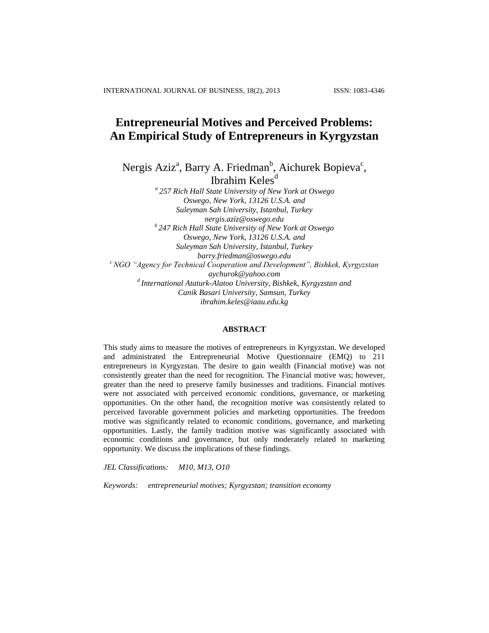# **Entrepreneurial Motives and Perceived Problems: An Empirical Study of Entrepreneurs in Kyrgyzstan**

Nergis Aziz<sup>a</sup>, Barry A. Friedman<sup>b</sup>, Aichurek Bopieva<sup>c</sup>, Ibrahim Keles<sup>d</sup>

*a 257 Rich Hall State University of New York at Oswego Oswego, New York, 13126 U.S.A. and Suleyman Sah University, Istanbul, Turkey nergis.aziz@oswego.edu b 247 Rich Hall State University of New York at Oswego Oswego, New York, 13126 U.S.A. and Suleyman Sah University, Istanbul, Turkey barry.friedman@oswego.edu <sup>c</sup> NGO "Agency for Technical Cooperation and Development", Bishkek, Kyrgyzstan aychurok@yahoo.com d International Ataturk-Alatoo University, Bishkek, Kyrgyzstan and Canik Basari University, Samsun, Turkey ibrahim.keles@iaau.edu.kg*

## **ABSTRACT**

This study aims to measure the motives of entrepreneurs in Kyrgyzstan. We developed and administrated the Entrepreneurial Motive Questionnaire (EMQ) to 211 entrepreneurs in Kyrgyzstan. The desire to gain wealth (Financial motive) was not consistently greater than the need for recognition. The Financial motive was; however, greater than the need to preserve family businesses and traditions. Financial motives were not associated with perceived economic conditions, governance, or marketing opportunities. On the other hand, the recognition motive was consistently related to perceived favorable government policies and marketing opportunities. The freedom motive was significantly related to economic conditions, governance, and marketing opportunities. Lastly, the family tradition motive was significantly associated with economic conditions and governance, but only moderately related to marketing opportunity. We discuss the implications of these findings.

*JEL Classificat*ions*: M10, M13, O10*

*Keywords: entrepreneurial motives; Kyrgyzstan; transition economy*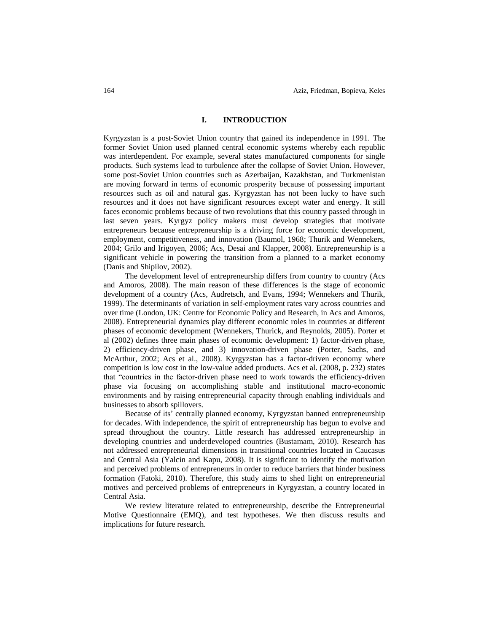## **I. INTRODUCTION**

Kyrgyzstan is a post-Soviet Union country that gained its independence in 1991. The former Soviet Union used planned central economic systems whereby each republic was interdependent. For example, several states manufactured components for single products. Such systems lead to turbulence after the collapse of Soviet Union. However, some post-Soviet Union countries such as Azerbaijan, Kazakhstan, and Turkmenistan are moving forward in terms of economic prosperity because of possessing important resources such as oil and natural gas. Kyrgyzstan has not been lucky to have such resources and it does not have significant resources except water and energy. It still faces economic problems because of two revolutions that this country passed through in last seven years. Kyrgyz policy makers must develop strategies that motivate entrepreneurs because entrepreneurship is a driving force for economic development, employment, competitiveness, and innovation (Baumol, 1968; Thurik and Wennekers, 2004; Grilo and Irigoyen, 2006; Acs, Desai and Klapper, 2008). Entrepreneurship is a significant vehicle in powering the transition from a planned to a market economy (Danis and Shipilov, 2002).

The development level of entrepreneurship differs from country to country (Acs and Amoros, 2008). The main reason of these differences is the stage of economic development of a country (Acs, Audretsch, and Evans, 1994; Wennekers and Thurik, 1999). The determinants of variation in self-employment rates vary across countries and over time (London, UK: Centre for Economic Policy and Research, in Acs and Amoros, 2008). Entrepreneurial dynamics play different economic roles in countries at different phases of economic development (Wennekers, Thurick, and Reynolds, 2005). Porter et al (2002) defines three main phases of economic development: 1) factor-driven phase, 2) efficiency-driven phase, and 3) innovation-driven phase (Porter, Sachs, and McArthur, 2002; Acs et al., 2008). Kyrgyzstan has a factor-driven economy where competition is low cost in the low-value added products. Acs et al. (2008, p. 232) states that "countries in the factor-driven phase need to work towards the efficiency-driven phase via focusing on accomplishing stable and institutional macro-economic environments and by raising entrepreneurial capacity through enabling individuals and businesses to absorb spillovers.

Because of its' centrally planned economy, Kyrgyzstan banned entrepreneurship for decades. With independence, the spirit of entrepreneurship has begun to evolve and spread throughout the country. Little research has addressed entrepreneurship in developing countries and underdeveloped countries (Bustamam, 2010). Research has not addressed entrepreneurial dimensions in transitional countries located in Caucasus and Central Asia (Yalcin and Kapu, 2008). It is significant to identify the motivation and perceived problems of entrepreneurs in order to reduce barriers that hinder business formation (Fatoki, 2010). Therefore, this study aims to shed light on entrepreneurial motives and perceived problems of entrepreneurs in Kyrgyzstan, a country located in Central Asia.

We review literature related to entrepreneurship, describe the Entrepreneurial Motive Questionnaire (EMQ), and test hypotheses. We then discuss results and implications for future research.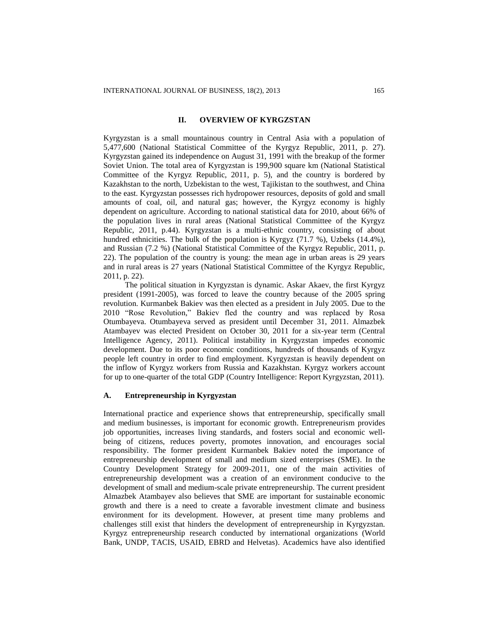## **II. OVERVIEW OF KYRGZSTAN**

Kyrgyzstan is a small mountainous country in Central Asia with a population of 5,477,600 (National Statistical Committee of the Kyrgyz Republic, 2011, p. 27). Kyrgyzstan gained its independence on August 31, 1991 with the breakup of the former Soviet Union. The total area of Kyrgyzstan is 199,900 square km (National Statistical Committee of the Kyrgyz Republic, 2011, p. 5), and the country is bordered by Kazakhstan to the north, Uzbekistan to the west, Tajikistan to the southwest, and China to the east. Kyrgyzstan possesses rich hydropower resources, deposits of gold and small amounts of coal, oil, and natural gas; however, the Kyrgyz economy is highly dependent on agriculture. According to national statistical data for 2010, about 66% of the population lives in rural areas (National Statistical Committee of the Kyrgyz Republic, 2011, p.44). Kyrgyzstan is a multi-ethnic country, consisting of about hundred ethnicities. The bulk of the population is Kyrgyz (71.7 %), Uzbeks (14.4%), and Russian (7.2 %) (National Statistical Committee of the Kyrgyz Republic, 2011, p. 22). The population of the country is young: the mean age in urban areas is 29 years and in rural areas is 27 years (National Statistical Committee of the Kyrgyz Republic, 2011, p. 22).

The political situation in Kyrgyzstan is dynamic. Askar Akaev, the first Kyrgyz president (1991-2005), was forced to leave the country because of the 2005 spring revolution. Kurmanbek Bakiev was then elected as a president in July 2005. Due to the 2010 "Rose Revolution," Bakiev fled the country and was replaced by Rosa Otumbayeva. Otumbayeva served as president until December 31, 2011. Almazbek Atambayev was elected President on October 30, 2011 for a six-year term (Central Intelligence Agency, 2011). Political instability in Kyrgyzstan impedes economic development. Due to its poor economic conditions, hundreds of thousands of Kyrgyz people left country in order to find employment. Kyrgyzstan is heavily dependent on the inflow of Kyrgyz workers from Russia and Kazakhstan. Kyrgyz workers account for up to one-quarter of the total GDP (Country Intelligence: Report Kyrgyzstan, 2011).

## **A. Entrepreneurship in Kyrgyzstan**

International practice and experience shows that entrepreneurship, specifically small and medium businesses, is important for economic growth. Entrepreneurism provides job opportunities, increases living standards, and fosters social and economic wellbeing of citizens, reduces poverty, promotes innovation, and encourages social responsibility. The former president Kurmanbek Bakiev noted the importance of entrepreneurship development of small and medium sized enterprises (SME). In the Country Development Strategy for 2009-2011, one of the main activities of entrepreneurship development was a creation of an environment conducive to the development of small and medium-scale private entrepreneurship. The current president Almazbek Atambayev also believes that SME are important for sustainable economic growth and there is a need to create a favorable investment climate and business environment for its development. However, at present time many problems and challenges still exist that hinders the development of entrepreneurship in Kyrgyzstan. Kyrgyz entrepreneurship research conducted by international organizations (World Bank, UNDP, TACIS, USAID, EBRD and Helvetas). Academics have also identified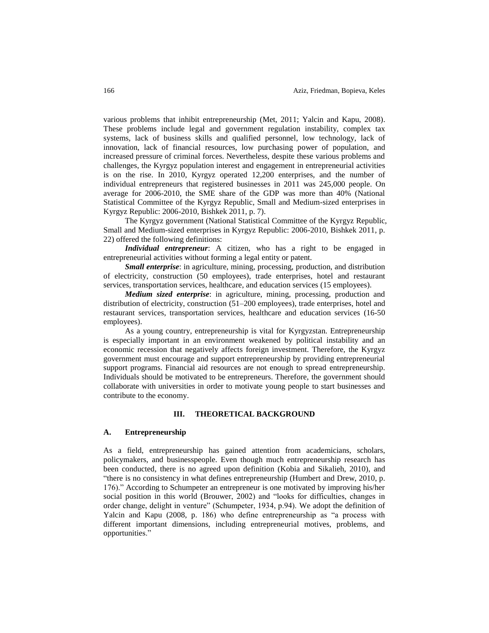various problems that inhibit entrepreneurship (Met, 2011; Yalcin and Kapu, 2008). These problems include legal and government regulation instability, complex tax systems, lack of business skills and qualified personnel, low technology, lack of innovation, lack of financial resources, low purchasing power of population, and increased pressure of criminal forces. Nevertheless, despite these various problems and challenges, the Kyrgyz population interest and engagement in entrepreneurial activities is on the rise. In 2010, Kyrgyz operated 12,200 enterprises, and the number of individual entrepreneurs that registered businesses in 2011 was 245,000 people. On average for 2006-2010, the SME share of the GDP was more than 40% (National Statistical Committee of the Kyrgyz Republic, Small and Medium-sized enterprises in Kyrgyz Republic: 2006-2010, Bishkek 2011, p. 7).

The Kyrgyz government (National Statistical Committee of the Kyrgyz Republic, Small and Medium-sized enterprises in Kyrgyz Republic: 2006-2010, Bishkek 2011, p. 22) offered the following definitions:

*Individual entrepreneur*: A citizen, who has a right to be engaged in entrepreneurial activities without forming a legal entity or patent.

*Small enterprise*: in agriculture, mining, processing, production, and distribution of electricity, construction (50 employees), trade enterprises, hotel and restaurant services, transportation services, healthcare, and education services (15 employees).

*Medium sized enterprise*: in agriculture, mining, processing, production and distribution of electricity, construction (51–200 employees), trade enterprises, hotel and restaurant services, transportation services, healthcare and education services (16-50 employees).

As a young country, entrepreneurship is vital for Kyrgyzstan. Entrepreneurship is especially important in an environment weakened by political instability and an economic recession that negatively affects foreign investment. Therefore, the Kyrgyz government must encourage and support entrepreneurship by providing entrepreneurial support programs. Financial aid resources are not enough to spread entrepreneurship. Individuals should be motivated to be entrepreneurs. Therefore, the government should collaborate with universities in order to motivate young people to start businesses and contribute to the economy.

## **III. THEORETICAL BACKGROUND**

## **A. Entrepreneurship**

As a field, entrepreneurship has gained attention from academicians, scholars, policymakers, and businesspeople. Even though much entrepreneurship research has been conducted, there is no agreed upon definition (Kobia and Sikalieh, 2010), and "there is no consistency in what defines entrepreneurship (Humbert and Drew, 2010, p. 176)." According to Schumpeter an entrepreneur is one motivated by improving his/her social position in this world (Brouwer, 2002) and "looks for difficulties, changes in order change, delight in venture" (Schumpeter, 1934, p.94). We adopt the definition of Yalcin and Kapu (2008, p. 186) who define entrepreneurship as "a process with different important dimensions, including entrepreneurial motives, problems, and opportunities."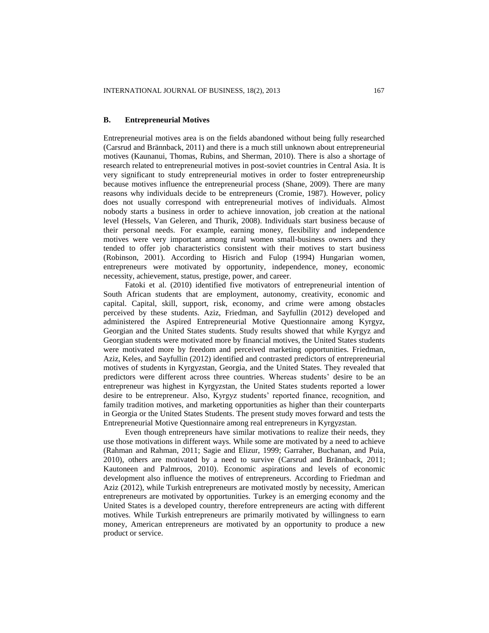#### **B. Entrepreneurial Motives**

Entrepreneurial motives area is on the fields abandoned without being fully researched (Carsrud and Brännback, 2011) and there is a much still unknown about entrepreneurial motives (Kaunanui, Thomas, Rubins, and Sherman, 2010). There is also a shortage of research related to entrepreneurial motives in post-soviet countries in Central Asia. It is very significant to study entrepreneurial motives in order to foster entrepreneurship because motives influence the entrepreneurial process (Shane, 2009). There are many reasons why individuals decide to be entrepreneurs (Cromie, 1987). However, policy does not usually correspond with entrepreneurial motives of individuals. Almost nobody starts a business in order to achieve innovation, job creation at the national level (Hessels, Van Geleren, and Thurik, 2008). Individuals start business because of their personal needs. For example, earning money, flexibility and independence motives were very important among rural women small-business owners and they tended to offer job characteristics consistent with their motives to start business (Robinson, 2001). According to Hisrich and Fulop (1994) Hungarian women, entrepreneurs were motivated by opportunity, independence, money, economic necessity, achievement, status, prestige, power, and career.

Fatoki et al. (2010) identified five motivators of entrepreneurial intention of South African students that are employment, autonomy, creativity, economic and capital. Capital, skill, support, risk, economy, and crime were among obstacles perceived by these students. Aziz, Friedman, and Sayfullin (2012) developed and administered the Aspired Entrepreneurial Motive Questionnaire among Kyrgyz, Georgian and the United States students. Study results showed that while Kyrgyz and Georgian students were motivated more by financial motives, the United States students were motivated more by freedom and perceived marketing opportunities. Friedman, Aziz, Keles, and Sayfullin (2012) identified and contrasted predictors of entrepreneurial motives of students in Kyrgyzstan, Georgia, and the United States. They revealed that predictors were different across three countries. Whereas students' desire to be an entrepreneur was highest in Kyrgyzstan, the United States students reported a lower desire to be entrepreneur. Also, Kyrgyz students' reported finance, recognition, and family tradition motives, and marketing opportunities as higher than their counterparts in Georgia or the United States Students. The present study moves forward and tests the Entrepreneurial Motive Questionnaire among real entrepreneurs in Kyrgyzstan.

Even though entrepreneurs have similar motivations to realize their needs, they use those motivations in different ways. While some are motivated by a need to achieve (Rahman and Rahman, 2011; Sagie and Elizur, 1999; Garraher, Buchanan, and Puia, 2010), others are motivated by a need to survive (Carsrud and Brännback, 2011; Kautoneen and Palmroos, 2010). Economic aspirations and levels of economic development also influence the motives of entrepreneurs. According to Friedman and Aziz (2012), while Turkish entrepreneurs are motivated mostly by necessity, American entrepreneurs are motivated by opportunities. Turkey is an emerging economy and the United States is a developed country, therefore entrepreneurs are acting with different motives. While Turkish entrepreneurs are primarily motivated by willingness to earn money, American entrepreneurs are motivated by an opportunity to produce a new product or service.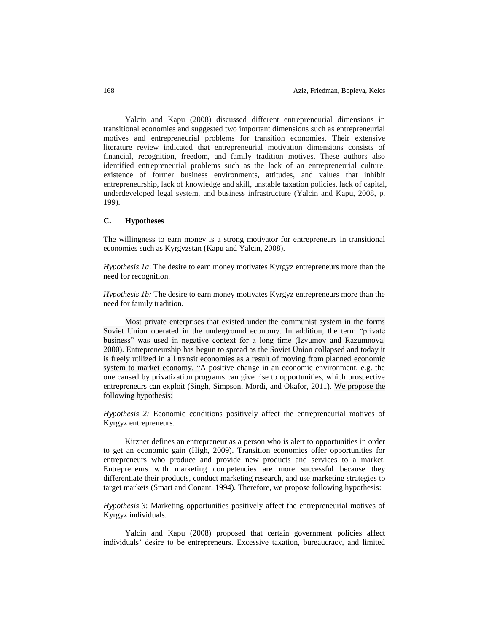Yalcin and Kapu (2008) discussed different entrepreneurial dimensions in transitional economies and suggested two important dimensions such as entrepreneurial motives and entrepreneurial problems for transition economies. Their extensive literature review indicated that entrepreneurial motivation dimensions consists of financial, recognition, freedom, and family tradition motives. These authors also identified entrepreneurial problems such as the lack of an entrepreneurial culture, existence of former business environments, attitudes, and values that inhibit entrepreneurship, lack of knowledge and skill, unstable taxation policies, lack of capital, underdeveloped legal system, and business infrastructure (Yalcin and Kapu, 2008, p. 199).

#### **C. Hypotheses**

The willingness to earn money is a strong motivator for entrepreneurs in transitional economies such as Kyrgyzstan (Kapu and Yalcin, 2008).

*Hypothesis 1a*: The desire to earn money motivates Kyrgyz entrepreneurs more than the need for recognition.

*Hypothesis 1b:* The desire to earn money motivates Kyrgyz entrepreneurs more than the need for family tradition.

Most private enterprises that existed under the communist system in the forms Soviet Union operated in the underground economy. In addition, the term "private business" was used in negative context for a long time (Izyumov and Razumnova, 2000). Entrepreneurship has begun to spread as the Soviet Union collapsed and today it is freely utilized in all transit economies as a result of moving from planned economic system to market economy. "A positive change in an economic environment, e.g. the one caused by privatization programs can give rise to opportunities, which prospective entrepreneurs can exploit (Singh, Simpson, Mordi, and Okafor, 2011). We propose the following hypothesis:

*Hypothesis 2:* Economic conditions positively affect the entrepreneurial motives of Kyrgyz entrepreneurs.

Kirzner defines an entrepreneur as a person who is alert to opportunities in order to get an economic gain (High, 2009). Transition economies offer opportunities for entrepreneurs who produce and provide new products and services to a market. Entrepreneurs with marketing competencies are more successful because they differentiate their products, conduct marketing research, and use marketing strategies to target markets (Smart and Conant, 1994). Therefore, we propose following hypothesis:

*Hypothesis 3*: Marketing opportunities positively affect the entrepreneurial motives of Kyrgyz individuals.

Yalcin and Kapu (2008) proposed that certain government policies affect individuals' desire to be entrepreneurs. Excessive taxation, bureaucracy, and limited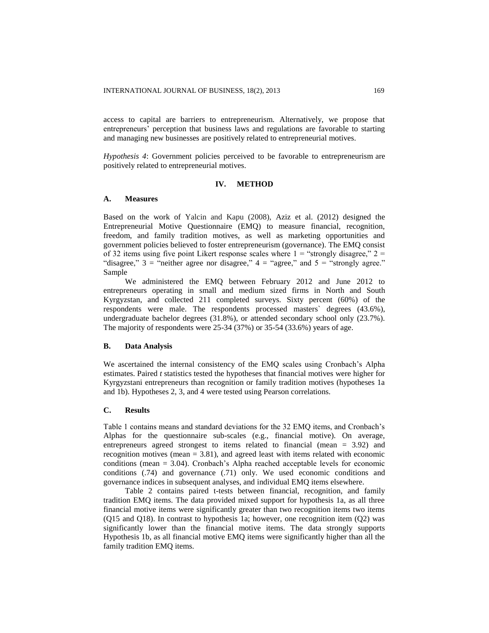access to capital are barriers to entrepreneurism. Alternatively, we propose that entrepreneurs' perception that business laws and regulations are favorable to starting and managing new businesses are positively related to entrepreneurial motives.

*Hypothesis 4*: Government policies perceived to be favorable to entrepreneurism are positively related to entrepreneurial motives.

## **IV. METHOD**

## **A. Measures**

Based on the work of Yalcin and Kapu (2008), Aziz et al. (2012) designed the Entrepreneurial Motive Questionnaire (EMQ) to measure financial, recognition, freedom, and family tradition motives, as well as marketing opportunities and government policies believed to foster entrepreneurism (governance). The EMQ consist of 32 items using five point Likert response scales where  $1 =$  "strongly disagree,"  $2 =$ "disagree,"  $3 =$  "neither agree nor disagree,"  $4 =$  "agree," and  $5 =$  "strongly agree." Sample

We administered the EMQ between February 2012 and June 2012 to entrepreneurs operating in small and medium sized firms in North and South Kyrgyzstan, and collected 211 completed surveys. Sixty percent (60%) of the respondents were male. The respondents processed masters` degrees (43.6%), undergraduate bachelor degrees (31.8%), or attended secondary school only (23.7%). The majority of respondents were 25-34 (37%) or 35-54 (33.6%) years of age.

#### **B. Data Analysis**

We ascertained the internal consistency of the EMQ scales using Cronbach's Alpha estimates. Paired *t* statistics tested the hypotheses that financial motives were higher for Kyrgyzstani entrepreneurs than recognition or family tradition motives (hypotheses 1a and 1b). Hypotheses 2, 3, and 4 were tested using Pearson correlations.

## **C. Results**

Table 1 contains means and standard deviations for the 32 EMQ items, and Cronbach's Alphas for the questionnaire sub-scales (e.g., financial motive). On average, entrepreneurs agreed strongest to items related to financial (mean = 3.92) and recognition motives (mean = 3.81), and agreed least with items related with economic conditions (mean = 3.04). Cronbach's Alpha reached acceptable levels for economic conditions (.74) and governance (.71) only. We used economic conditions and governance indices in subsequent analyses, and individual EMQ items elsewhere.

Table 2 contains paired t-tests between financial, recognition, and family tradition EMQ items. The data provided mixed support for hypothesis 1a, as all three financial motive items were significantly greater than two recognition items two items (Q15 and Q18). In contrast to hypothesis 1a; however, one recognition item (Q2) was significantly lower than the financial motive items. The data strongly supports Hypothesis 1b, as all financial motive EMQ items were significantly higher than all the family tradition EMQ items.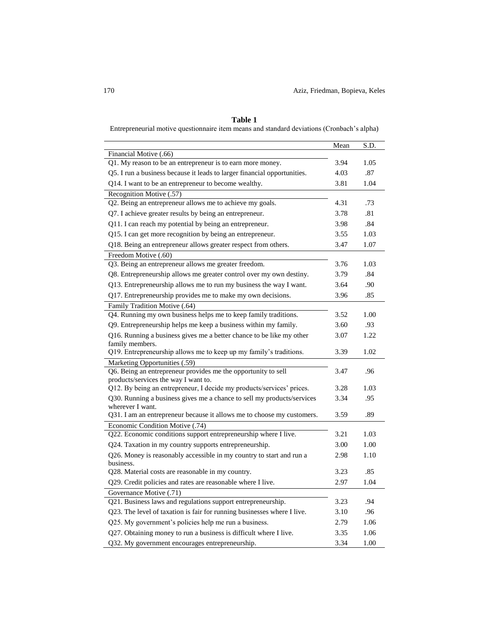|                                                                                                | Mean | S.D. |
|------------------------------------------------------------------------------------------------|------|------|
| Financial Motive (.66)<br>Q1. My reason to be an entrepreneur is to earn more money.           | 3.94 | 1.05 |
| Q5. I run a business because it leads to larger financial opportunities.                       | 4.03 | .87  |
| Q14. I want to be an entrepreneur to become wealthy.                                           | 3.81 | 1.04 |
| Recognition Motive (.57)                                                                       |      |      |
| Q2. Being an entrepreneur allows me to achieve my goals.                                       | 4.31 | .73  |
| Q7. I achieve greater results by being an entrepreneur.                                        | 3.78 | .81  |
|                                                                                                | 3.98 | .84  |
| Q11. I can reach my potential by being an entrepreneur.                                        |      |      |
| Q15. I can get more recognition by being an entrepreneur.                                      | 3.55 | 1.03 |
| Q18. Being an entrepreneur allows greater respect from others.                                 | 3.47 | 1.07 |
| Freedom Motive (.60)                                                                           |      |      |
| Q3. Being an entrepreneur allows me greater freedom.                                           | 3.76 | 1.03 |
| Q8. Entrepreneurship allows me greater control over my own destiny.                            | 3.79 | .84  |
| Q13. Entrepreneurship allows me to run my business the way I want.                             | 3.64 | .90  |
| Q17. Entrepreneurship provides me to make my own decisions.                                    | 3.96 | .85  |
| Family Tradition Motive (.64)                                                                  |      |      |
| Q4. Running my own business helps me to keep family traditions.                                | 3.52 | 1.00 |
| Q9. Entrepreneurship helps me keep a business within my family.                                | 3.60 | .93  |
| Q16. Running a business gives me a better chance to be like my other                           | 3.07 | 1.22 |
| family members.<br>Q19. Entrepreneurship allows me to keep up my family's traditions.          | 3.39 | 1.02 |
|                                                                                                |      |      |
| Marketing Opportunities (.59)<br>Q6. Being an entrepreneur provides me the opportunity to sell | 3.47 | .96  |
| products/services the way I want to.                                                           |      |      |
| Q12. By being an entrepreneur, I decide my products/services' prices.                          | 3.28 | 1.03 |
| Q30. Running a business gives me a chance to sell my products/services                         | 3.34 | .95  |
| wherever I want.                                                                               |      |      |
| Q31. I am an entrepreneur because it allows me to choose my customers.                         | 3.59 | .89  |
| Economic Condition Motive (.74)                                                                |      |      |
| Q22. Economic conditions support entrepreneurship where I live.                                | 3.21 | 1.03 |
| Q24. Taxation in my country supports entrepreneurship.                                         | 3.00 | 1.00 |
| Q26. Money is reasonably accessible in my country to start and run a<br>business.              | 2.98 | 1.10 |
| Q28. Material costs are reasonable in my country.                                              | 3.23 | .85  |
| Q29. Credit policies and rates are reasonable where I live.                                    | 2.97 | 1.04 |
| Governance Motive (.71)                                                                        |      |      |
| Q21. Business laws and regulations support entrepreneurship.                                   | 3.23 | .94  |
| Q23. The level of taxation is fair for running businesses where I live.                        | 3.10 | .96  |
| Q25. My government's policies help me run a business.                                          | 2.79 | 1.06 |
| Q27. Obtaining money to run a business is difficult where I live.                              | 3.35 | 1.06 |
| Q32. My government encourages entrepreneurship.                                                | 3.34 | 1.00 |

## **Table 1**

Entrepreneurial motive questionnaire item means and standard deviations (Cronbach's alpha)

L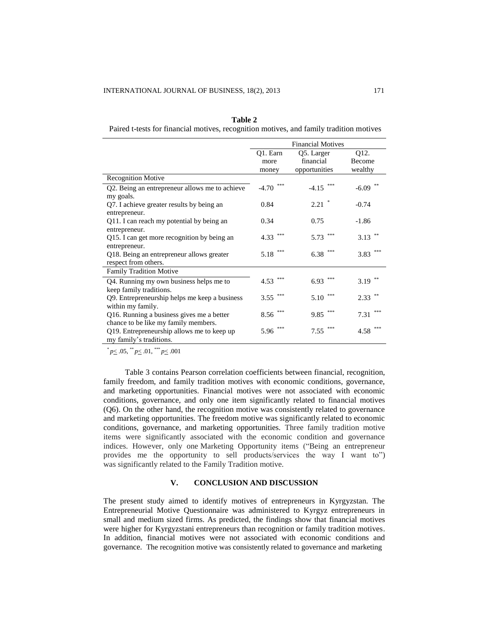| Table 2                                                                                 |
|-----------------------------------------------------------------------------------------|
| Paired t-tests for financial motives, recognition motives, and family tradition motives |

|                                                | <b>Financial Motives</b> |                |               |  |
|------------------------------------------------|--------------------------|----------------|---------------|--|
|                                                | Q1. Earn                 | Q5. Larger     | Q12.          |  |
|                                                | more                     | financial      | <b>Become</b> |  |
|                                                | money                    | opportunities  | wealthy       |  |
| <b>Recognition Motive</b>                      |                          |                |               |  |
| Q2. Being an entrepreneur allows me to achieve | ***<br>$-4.70$           | ***<br>$-4.15$ | **<br>$-6.09$ |  |
| my goals.                                      |                          |                |               |  |
| Q7. I achieve greater results by being an      | 0.84                     | $\ast$<br>2.21 | $-0.74$       |  |
| entrepreneur.                                  |                          |                |               |  |
| Q11. I can reach my potential by being an      | 0.34                     | 0.75           | $-1.86$       |  |
| entrepreneur.                                  |                          | ***            |               |  |
| Q15. I can get more recognition by being an    | ***<br>4.33              | 5.73           | **<br>3.13    |  |
| entrepreneur.                                  |                          | $***$          | $***$         |  |
| Q18. Being an entrepreneur allows greater      | ***<br>5.18              | 6.38           | 3.83          |  |
| respect from others.                           |                          |                |               |  |
| <b>Family Tradition Motive</b>                 |                          |                |               |  |
| Q4. Running my own business helps me to        | ***<br>4.53              | ***<br>6.93    | 3.19          |  |
| keep family traditions.                        |                          |                |               |  |
| Q9. Entrepreneurship helps me keep a business  | ***<br>3.55              | $***$<br>5.10  | $2.33$ **     |  |
| within my family.                              |                          |                |               |  |
| Q16. Running a business gives me a better      | ***<br>8.56              | $***$<br>9.85  | ***<br>7.31   |  |
| chance to be like my family members.           |                          |                |               |  |
| Q19. Entrepreneurship allows me to keep up     | ***<br>5.96              | $***$<br>7.55  | ***<br>4.58   |  |
| my family's traditions.                        |                          |                |               |  |

 $^{*}p\leq .05, ^{**}p\leq .01, ^{***}p\leq .001$ 

Table 3 contains Pearson correlation coefficients between financial, recognition, family freedom, and family tradition motives with economic conditions, governance, and marketing opportunities. Financial motives were not associated with economic conditions, governance, and only one item significantly related to financial motives (Q6). On the other hand, the recognition motive was consistently related to governance and marketing opportunities. The freedom motive was significantly related to economic conditions, governance, and marketing opportunities. Three family tradition motive items were significantly associated with the economic condition and governance indices. However, only one Marketing Opportunity items ("Being an entrepreneur provides me the opportunity to sell products/services the way I want to") was significantly related to the Family Tradition motive.

## **V. CONCLUSION AND DISCUSSION**

The present study aimed to identify motives of entrepreneurs in Kyrgyzstan. The Entrepreneurial Motive Questionnaire was administered to Kyrgyz entrepreneurs in small and medium sized firms. As predicted, the findings show that financial motives were higher for Kyrgyzstani entrepreneurs than recognition or family tradition motives. In addition, financial motives were not associated with economic conditions and governance. The recognition motive was consistently related to governance and marketing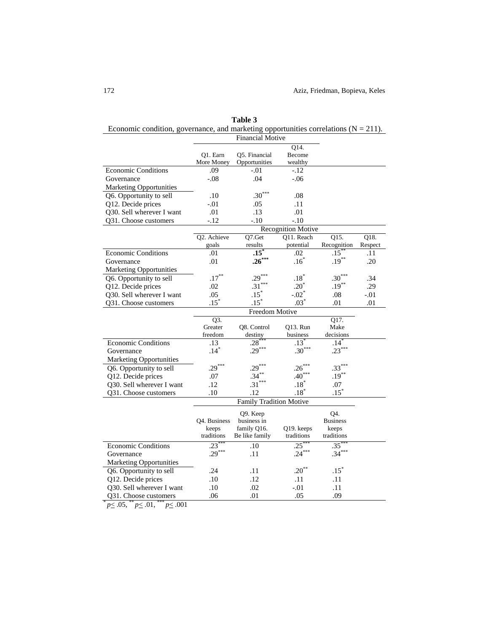| Economic condition, governance, and marketing opportunities correlations $(N = 211)$ . |              |                                |                           |                        |         |
|----------------------------------------------------------------------------------------|--------------|--------------------------------|---------------------------|------------------------|---------|
|                                                                                        |              | <b>Financial Motive</b>        |                           |                        |         |
|                                                                                        |              |                                | $\overline{Q14}$ .        |                        |         |
|                                                                                        | Q1. Earn     | Q5. Financial                  | Become                    |                        |         |
|                                                                                        | More Money   | Opportunities                  | wealthy                   |                        |         |
| <b>Economic Conditions</b>                                                             | .09          | $-.01$                         | -.12                      |                        |         |
| Governance                                                                             | $-.08$       | .04                            | $-.06$                    |                        |         |
| <b>Marketing Opportunities</b>                                                         |              |                                |                           |                        |         |
| Q6. Opportunity to sell                                                                | .10          | $.30***$                       | .08                       |                        |         |
| Q12. Decide prices                                                                     | $-.01$       | .05                            | .11                       |                        |         |
| Q30. Sell wherever I want                                                              | .01          | .13                            | .01                       |                        |         |
| Q31. Choose customers                                                                  | $-12$        | $-.10$                         | $-.10$                    |                        |         |
|                                                                                        |              |                                | <b>Recognition Motive</b> |                        |         |
|                                                                                        | Q2. Achieve  | Q7.Get                         | O11. Reach                | Q15.                   | Q18.    |
|                                                                                        | goals        | results                        | potential                 | Recognition            | Respect |
| <b>Economic Conditions</b>                                                             | .01          | $.15^{\degree}$                | .02                       | $.15^*$                | .11     |
| Governance                                                                             | .01          | $.26***$                       | .16                       | $.19***$               | .20     |
| <b>Marketing Opportunities</b>                                                         |              |                                |                           |                        |         |
| Q6. Opportunity to sell                                                                | $.17***$     | $.29***$                       | $.18*$                    | $.30***$               | .34     |
| Q12. Decide prices                                                                     | .02          | $.31***$                       | $.20^{\degree}$           | $.19***$               | .29     |
| Q30. Sell wherever I want                                                              | .05          | $.15^*$                        | $-.02$ <sup>*</sup>       | .08                    | $-.01$  |
| Q31. Choose customers                                                                  | $.15*$       | $.15^*$                        | $.03*$                    | .01                    | .01     |
|                                                                                        |              | Freedom Motive                 |                           |                        |         |
|                                                                                        | Q17.<br>Q3.  |                                |                           |                        |         |
|                                                                                        | Greater      | Q8. Control                    | Q13. Run                  | Make                   |         |
|                                                                                        | freedom      | destiny                        | business                  | decisions              |         |
| <b>Economic Conditions</b>                                                             | .13          | $.28^\circ$                    | .13'                      | .14                    |         |
| Governance                                                                             | $.14*$       | $.29***$                       | $.30***$                  | $.23***$               |         |
| <b>Marketing Opportunities</b>                                                         |              |                                |                           |                        |         |
| Q6. Opportunity to sell                                                                | $.29***$     | $.29***$                       | $.26***$                  | $.33***$               |         |
| Q12. Decide prices                                                                     | .07          | $.34***$                       | $.40***$                  | $.19***$               |         |
| Q30. Sell wherever I want                                                              | .12          | $.31***$                       | $.18*$                    | .07                    |         |
| <b>Q31.</b> Choose customers                                                           | .10          | .12                            | $.18*$                    | $.15*$                 |         |
|                                                                                        |              | <b>Family Tradition Motive</b> |                           |                        |         |
|                                                                                        |              | Q9. Keep                       |                           |                        |         |
|                                                                                        | Q4. Business | business in                    |                           | Q4.<br><b>Business</b> |         |
|                                                                                        | keeps        | family Q16.                    | Q19. keeps                | keeps                  |         |
|                                                                                        | traditions   | Be like family                 | traditions                | traditions             |         |
| <b>Economic Conditions</b>                                                             | .23          | .10                            | $.25*$                    | $.35^*$                |         |
| Governance                                                                             | $.29***$     | .11                            | $.24***$                  | $.34***$               |         |
|                                                                                        |              |                                |                           |                        |         |
| <b>Marketing Opportunities</b>                                                         | .24          | .11                            | $.20***$                  | $.15*$                 |         |
| Q6. Opportunity to sell                                                                |              |                                |                           |                        |         |
| Q12. Decide prices                                                                     | .10          | .12                            | .11                       | .11                    |         |
| Q30. Sell wherever I want                                                              | .10          | .02                            | $-.01$                    | .11                    |         |
| Q31. Choose customers                                                                  | .06          | .01                            | .05                       | .09                    |         |
| $p \leq .05,$ ** $p \leq .01,$ *** $p \leq .001$                                       |              |                                |                           |                        |         |

**Table 3**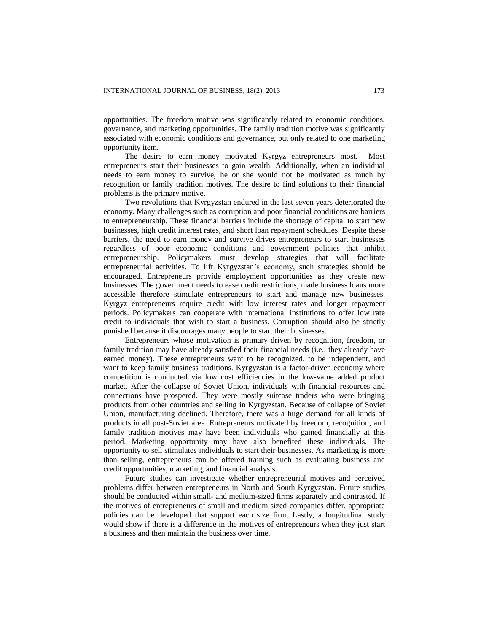opportunities. The freedom motive was significantly related to economic conditions, governance, and marketing opportunities. The family tradition motive was significantly associated with economic conditions and governance, but only related to one marketing opportunity item.

The desire to earn money motivated Kyrgyz entrepreneurs most. Most entrepreneurs start their businesses to gain wealth. Additionally, when an individual needs to earn money to survive, he or she would not be motivated as much by recognition or family tradition motives. The desire to find solutions to their financial problems is the primary motive.

Two revolutions that Kyrgyzstan endured in the last seven years deteriorated the economy. Many challenges such as corruption and poor financial conditions are barriers to entrepreneurship. These financial barriers include the shortage of capital to start new businesses, high credit interest rates, and short loan repayment schedules. Despite these barriers, the need to earn money and survive drives entrepreneurs to start businesses regardless of poor economic conditions and government policies that inhibit entrepreneurship. Policymakers must develop strategies that will facilitate entrepreneurial activities. To lift Kyrgyzstan's economy, such strategies should be encouraged. Entrepreneurs provide employment opportunities as they create new businesses. The government needs to ease credit restrictions, made business loans more accessible therefore stimulate entrepreneurs to start and manage new businesses. Kyrgyz entrepreneurs require credit with low interest rates and longer repayment periods. Policymakers can cooperate with international institutions to offer low rate credit to individuals that wish to start a business. Corruption should also be strictly punished because it discourages many people to start their businesses.

Entrepreneurs whose motivation is primary driven by recognition, freedom, or family tradition may have already satisfied their financial needs (i.e., they already have earned money). These entrepreneurs want to be recognized, to be independent, and want to keep family business traditions. Kyrgyzstan is a factor-driven economy where competition is conducted via low cost efficiencies in the low-value added product market. After the collapse of Soviet Union, individuals with financial resources and connections have prospered. They were mostly suitcase traders who were bringing products from other countries and selling in Kyrgyzstan. Because of collapse of Soviet Union, manufacturing declined. Therefore, there was a huge demand for all kinds of products in all post-Soviet area. Entrepreneurs motivated by freedom, recognition, and family tradition motives may have been individuals who gained financially at this period. Marketing opportunity may have also benefited these individuals. The opportunity to sell stimulates individuals to start their businesses. As marketing is more than selling, entrepreneurs can be offered training such as evaluating business and credit opportunities, marketing, and financial analysis.

Future studies can investigate whether entrepreneurial motives and perceived problems differ between entrepreneurs in North and South Kyrgyzstan. Future studies should be conducted within small- and medium-sized firms separately and contrasted. If the motives of entrepreneurs of small and medium sized companies differ, appropriate policies can be developed that support each size firm. Lastly, a longitudinal study would show if there is a difference in the motives of entrepreneurs when they just start a business and then maintain the business over time.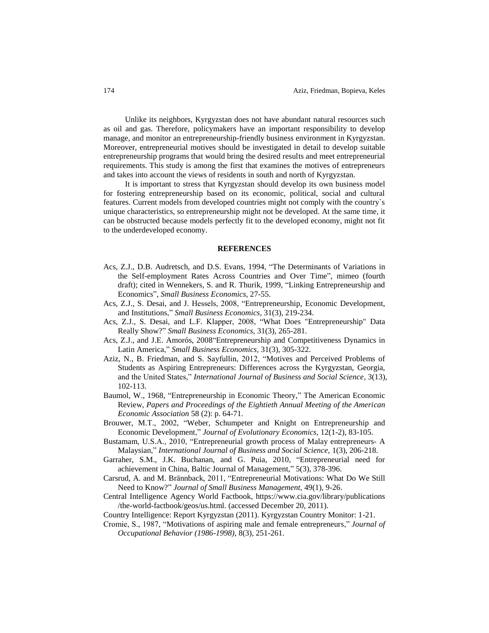Unlike its neighbors, Kyrgyzstan does not have abundant natural resources such as oil and gas. Therefore, policymakers have an important responsibility to develop manage, and monitor an entrepreneurship-friendly business environment in Kyrgyzstan. Moreover, entrepreneurial motives should be investigated in detail to develop suitable entrepreneurship programs that would bring the desired results and meet entrepreneurial requirements. This study is among the first that examines the motives of entrepreneurs and takes into account the views of residents in south and north of Kyrgyzstan.

It is important to stress that Kyrgyzstan should develop its own business model for fostering entrepreneurship based on its economic, political, social and cultural features. Current models from developed countries might not comply with the country`s unique characteristics, so entrepreneurship might not be developed. At the same time, it can be obstructed because models perfectly fit to the developed economy, might not fit to the underdeveloped economy.

#### **REFERENCES**

- Acs, Z.J., D.B. Audretsch, and D.S. Evans, 1994, "The Determinants of Variations in the Self-employment Rates Across Countries and Over Time", mimeo (fourth draft); cited in Wennekers, S. and R. Thurik, 1999, "Linking Entrepreneurship and Economics", *Small Business Economics*, 27-55.
- Acs, Z.J., S. Desai, and J. Hessels, 2008, "Entrepreneurship, Economic Development, and Institutions," *Small Business Economics,* 31(3), 219-234.
- Acs, Z.J., S. Desai, and L.F. Klapper, 2008, "What Does "Entrepreneurship" Data Really Show?" *Small Business Economics,* 31(3), 265-281.
- Acs, Z.J., and J.E. Amorós, 2008"Entrepreneurship and Competitiveness Dynamics in Latin America," *Small Business Economics,* 31(3), 305-322.
- Aziz, N., B. Friedman, and S. Sayfullin, 2012, "Motives and Perceived Problems of Students as Aspiring Entrepreneurs: Differences across the Kyrgyzstan, Georgia, and the United States," *International Journal of Business and Social Science,* 3(13), 102-113.
- Baumol, W., 1968, "Entrepreneurship in Economic Theory," The American Economic Review, *Papers and Proceedings of the Eightieth Annual Meeting of the American Economic Association* 58 (2): p. 64-71.
- Brouwer, M.T., 2002, "Weber, Schumpeter and Knight on Entrepreneurship and Economic Development," *Journal of Evolutionary Economics,* 12(1-2), 83-105.
- Bustamam, U.S.A., 2010, "Entrepreneurial growth process of Malay entrepreneurs- A Malaysian," *International Journal of Business and Social Science,* 1(3), 206-218.
- Garraher, S.M., J.K. Buchanan, and G. Puia, 2010, "Entrepreneurial need for achievement in China, Baltic Journal of Management," 5(3), 378-396.
- Carsrud, A. and M. Brännback, 2011, "Entrepreneurial Motivations: What Do We Still Need to Know?" *Journal of Small Business Management,* 49(1), 9-26.
- Central Intelligence Agency World Factbook, https://www.cia.gov/library/publications /the-world-factbook/geos/us.html. (accessed December 20, 2011).
- Country Intelligence: Report Kyrgyzstan (2011). Kyrgyzstan Country Monitor: 1-21.
- Cromie, S., 1987, "Motivations of aspiring male and female entrepreneurs," *Journal of Occupational Behavior (1986-1998),* 8(3), 251-261.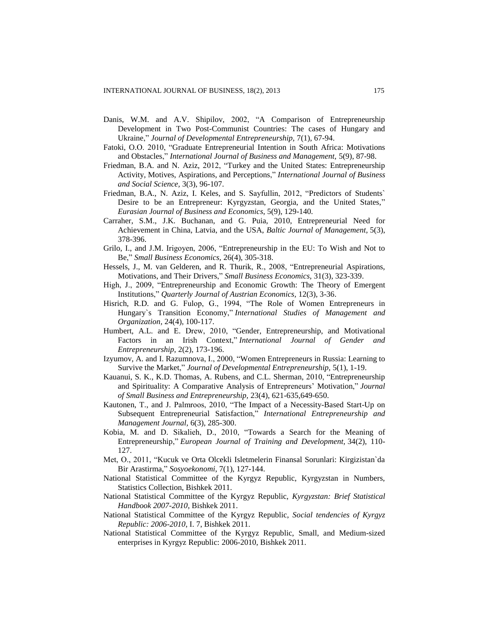- Danis, W.M. and A.V. Shipilov, 2002, "A Comparison of Entrepreneurship Development in Two Post-Communist Countries: The cases of Hungary and Ukraine," *Journal of Developmental Entrepreneurship,* 7(1), 67-94.
- Fatoki, O.O. 2010, "Graduate Entrepreneurial Intention in South Africa: Motivations and Obstacles," *International Journal of Business and Management,* 5(9), 87-98.
- Friedman, B.A. and N. Aziz, 2012, "Turkey and the United States: Entrepreneurship Activity, Motives, Aspirations, and Perceptions," *International Journal of Business and Social Science,* 3(3), 96-107.
- Friedman, B.A., N. Aziz, I. Keles, and S. Sayfullin, 2012, "Predictors of Students` Desire to be an Entrepreneur: Kyrgyzstan, Georgia, and the United States," *Eurasian Journal of Business and Economics*, 5(9), 129-140.
- Carraher, S.M., J.K. Buchanan, and G. Puia, 2010, Entrepreneurial Need for Achievement in China, Latvia, and the USA, *Baltic Journal of Management,* 5(3), 378-396.
- Grilo, I., and J.M. Irigoyen, 2006, "Entrepreneurship in the EU: To Wish and Not to Be," *Small Business Economics,* 26(4), 305-318.
- Hessels, J., M. van Gelderen, and R. Thurik, R., 2008, "Entrepreneurial Aspirations, Motivations, and Their Drivers," *Small Business Economics,* 31(3), 323-339.
- High, J., 2009, "Entrepreneurship and Economic Growth: The Theory of Emergent Institutions," *Quarterly Journal of Austrian Economics,* 12(3), 3-36.
- Hisrich, R.D. and G. Fulop, G., 1994, "The Role of Women Entrepreneurs in Hungary`s Transition Economy," *International Studies of Management and Organization,* 24(4), 100-117.
- Humbert, A.L. and E. Drew, 2010, "Gender, Entrepreneurship, and Motivational Factors in an Irish Context," *International Journal of Gender and Entrepreneurship,* 2(2), 173-196.
- Izyumov, A. and I. Razumnova, I., 2000, "Women Entrepreneurs in Russia: Learning to Survive the Market," *Journal of Developmental Entrepreneurship,* 5(1), 1-19.
- Kauanui, S. K., K.D. Thomas, A. Rubens, and C.L. Sherman, 2010, "Entrepreneurship and Spirituality: A Comparative Analysis of Entrepreneurs' Motivation," *Journal of Small Business and Entrepreneurship,* 23(4), 621-635,649-650.
- Kautonen, T., and J. Palmroos, 2010, "The Impact of a Necessity-Based Start-Up on Subsequent Entrepreneurial Satisfaction," *International Entrepreneurship and Management Journal,* 6(3), 285-300.
- Kobia, M. and D. Sikalieh, D., 2010, "Towards a Search for the Meaning of Entrepreneurship," *European Journal of Training and Development,* 34(2), 110- 127.
- Met, O., 2011, "Kucuk ve Orta Olcekli Isletmelerin Finansal Sorunlari: Kirgizistan`da Bir Arastirma," *Sosyoekonomi*, 7(1), 127-144.
- National Statistical Committee of the Kyrgyz Republic, Kyrgyzstan in Numbers, Statistics Collection, Bishkek 2011.
- National Statistical Committee of the Kyrgyz Republic, *Kyrgyzstan: Brief Statistical Handbook 2007-2010*, Bishkek 2011.
- National Statistical Committee of the Kyrgyz Republic, *Social tendencies of Kyrgyz Republic: 2006-2010*, I. 7, Bishkek 2011.
- National Statistical Committee of the Kyrgyz Republic, Small, and Medium-sized enterprises in Kyrgyz Republic: 2006-2010, Bishkek 2011.